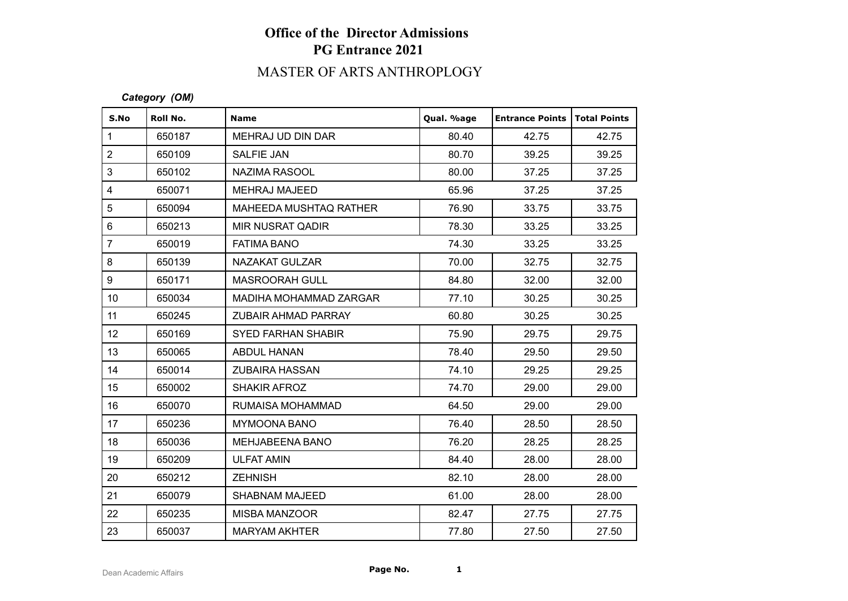# **Office of the Director Admissions PG Entrance 2021**

# MASTER OF ARTS ANTHROPLOGY

#### *Category (OM)*

| S.No            | Roll No. | <b>Name</b>               | Qual. %age | <b>Entrance Points   Total Points</b> |       |
|-----------------|----------|---------------------------|------------|---------------------------------------|-------|
| $\mathbf{1}$    | 650187   | MEHRAJ UD DIN DAR         | 80.40      | 42.75                                 | 42.75 |
| $\overline{2}$  | 650109   | <b>SALFIE JAN</b>         | 80.70      | 39.25                                 | 39.25 |
| 3               | 650102   | NAZIMA RASOOL             | 80.00      | 37.25                                 | 37.25 |
| $\overline{4}$  | 650071   | <b>MEHRAJ MAJEED</b>      | 65.96      | 37.25                                 | 37.25 |
| 5               | 650094   | MAHEEDA MUSHTAQ RATHER    | 76.90      | 33.75                                 | 33.75 |
| $\,6\,$         | 650213   | MIR NUSRAT QADIR          | 78.30      | 33.25                                 | 33.25 |
| $\overline{7}$  | 650019   | <b>FATIMA BANO</b>        | 74.30      | 33.25                                 | 33.25 |
| 8               | 650139   | NAZAKAT GULZAR            | 70.00      | 32.75                                 | 32.75 |
| 9               | 650171   | <b>MASROORAH GULL</b>     | 84.80      | 32.00                                 | 32.00 |
| 10 <sup>1</sup> | 650034   | MADIHA MOHAMMAD ZARGAR    | 77.10      | 30.25                                 | 30.25 |
| 11              | 650245   | ZUBAIR AHMAD PARRAY       | 60.80      | 30.25                                 | 30.25 |
| 12 <sub>2</sub> | 650169   | <b>SYED FARHAN SHABIR</b> | 75.90      | 29.75                                 | 29.75 |
| 13              | 650065   | <b>ABDUL HANAN</b>        | 78.40      | 29.50                                 | 29.50 |
| 14              | 650014   | <b>ZUBAIRA HASSAN</b>     | 74.10      | 29.25                                 | 29.25 |
| 15              | 650002   | <b>SHAKIR AFROZ</b>       | 74.70      | 29.00                                 | 29.00 |
| 16              | 650070   | RUMAISA MOHAMMAD          | 64.50      | 29.00                                 | 29.00 |
| 17              | 650236   | <b>MYMOONA BANO</b>       | 76.40      | 28.50                                 | 28.50 |
| 18              | 650036   | MEHJABEENA BANO           | 76.20      | 28.25                                 | 28.25 |
| 19              | 650209   | <b>ULFAT AMIN</b>         | 84.40      | 28.00                                 | 28.00 |
| 20              | 650212   | <b>ZEHNISH</b>            | 82.10      | 28.00                                 | 28.00 |
| 21              | 650079   | <b>SHABNAM MAJEED</b>     | 61.00      | 28.00                                 | 28.00 |
| 22              | 650235   | MISBA MANZOOR             | 82.47      | 27.75                                 | 27.75 |
| 23              | 650037   | <b>MARYAM AKHTER</b>      | 77.80      | 27.50                                 | 27.50 |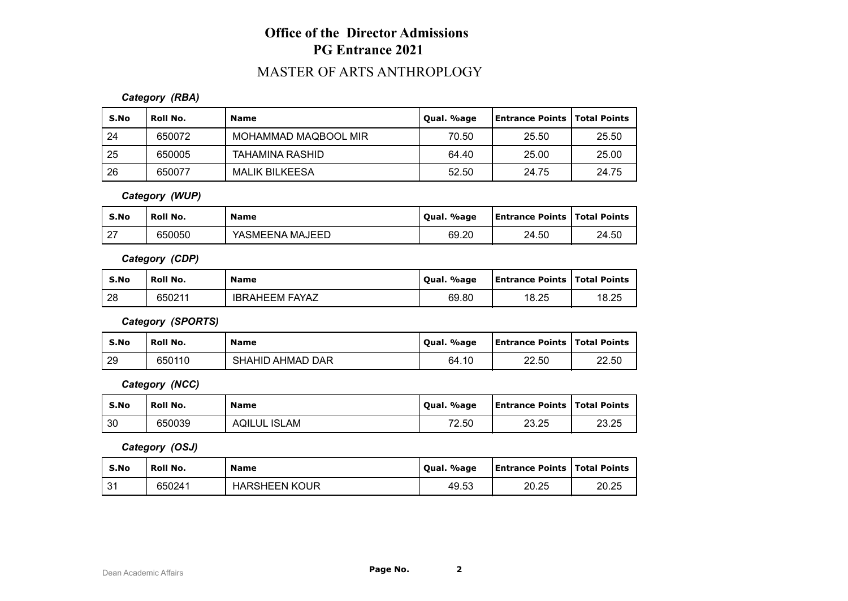# **Office of the Director Admissions PG Entrance 2021**

## MASTER OF ARTS ANTHROPLOGY

#### *Category (RBA)*

| S.No | Roll No. | <b>Name</b>           | Qual. %age | <b>Entrance Points   Total Points</b> |       |
|------|----------|-----------------------|------------|---------------------------------------|-------|
| 24   | 650072   | MOHAMMAD MAQBOOL MIR  | 70.50      | 25.50                                 | 25.50 |
| 25   | 650005   | TAHAMINA RASHID       | 64.40      | 25.00                                 | 25.00 |
| 26   | 650077   | <b>MALIK BILKEESA</b> | 52.50      | 24.75                                 | 24.75 |

#### *Category (WUP)*

| S.No                 | <b>Roll No.</b> | <b>Name</b>     | Qual. %age | <b>Lentrance Points   Total Points  </b> |       |
|----------------------|-----------------|-----------------|------------|------------------------------------------|-------|
| $\sim$<br>$\epsilon$ | 650050          | YASMEENA MAJEED | 69.20      | 24.50                                    | 24.50 |

#### *Category (CDP)*

| S.No | <b>Roll No.</b> | <b>Name</b>           | Qual. %age | <b>Entrance Points   Total Points</b> |       |
|------|-----------------|-----------------------|------------|---------------------------------------|-------|
| 28   | 650211          | <b>IBRAHEEM FAYAZ</b> | 69.80      | 18.25                                 | 18.25 |

*Category (SPORTS)*

| S.No | <b>Roll No.</b> | <b>Name</b>      | Qual. %age | <b>Entrance Points   Total Points</b> |       |
|------|-----------------|------------------|------------|---------------------------------------|-------|
| 29   | 650110          | SHAHID AHMAD DAR | 64.10      | 22.50                                 | 22.50 |

*Category (NCC)*

| S.No | Roll No. | <b>Name</b>         | Qual. %age | <b>Entrance Points   Total Points</b> |       |
|------|----------|---------------------|------------|---------------------------------------|-------|
| 30   | 650039   | <b>AQILUL ISLAM</b> | 72.50      | 23.25                                 | 23.25 |

*Category (OSJ)*

| S.No              | Roll No. | <b>Name</b>          | . %age<br>' Oual. | Entrance Points   Total Points |       |
|-------------------|----------|----------------------|-------------------|--------------------------------|-------|
| $^{\circ}$<br>ا پ | 650241   | <b>HARSHEEN KOUR</b> | 49.53             | 20.25                          | 20.25 |